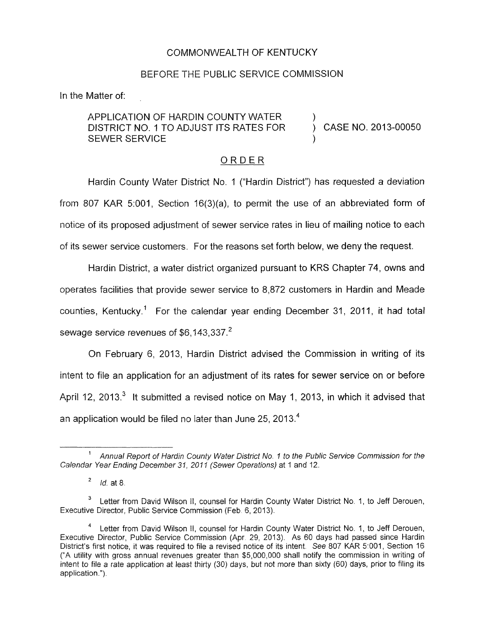## COMMONWEALTH OF KENTUCKY

## BEFORE THE PUBLIC SERVICE COMMISSION

In the Matter of:

APPLICATION OF HARDIN COUNTY WATER DISTRICT NO. 1 TO ADJUST ITS RATES FOR SEWER SERVICE

) CASE NO. 2013-00050

## ORDER

Hardin County Water District No. 1 ("Hardin District") has requested a deviation from 807 KAR 5:001, Section 16(3)(a), to permit the use of an abbreviated form of notice of its proposed adjustment of sewer service rates in lieu of mailing notice to each of its sewer service customers. For the reasons set forth below, we deny the request.

Hardin District, a water district organized pursuant to KRS Chapter 74, owns and operates facilities that provide sewer service to 8,872 customers in Hardin and Meade counties, Kentucky.' For the calendar year ending December 31, 2011, it had total sewage service revenues of \$6,143,337.<sup>2</sup>

On February 6, 2013, Hardin District advised the Commission in writing of its intent to file an application for an adjustment of its rates for sewer service on or before April 12, 2013. $3$  It submitted a revised notice on May 1, 2013, in which it advised that an application would be filed no later than June 25, 2013. $<sup>4</sup>$ </sup>

Annual Report *of* Hardin County Water District *No.* **7** to the Public Service Commission *for* the **1**  Calendar Year Ending December *31, 2011* (Sewer Operations) at 1 and 12.

*Id.* at 8 **2** 

<sup>&</sup>lt;sup>3</sup> Letter from David Wilson II, counsel for Hardin County Water District No. 1, to Jeff Derouen, Executive Director, Public Service Commission (Feb. 6, 2013).

Letter from David Wilson II, counsel for Hardin County Water District No. 1, to Jeff Derouen, Executive Director, Public Service Commission (Apr. 29, 2013). As 60 days had passed since Hardin District's first notice, it was required to file a revised notice of its intent. See 807 KAR 5:001, Section 16 ("A utility with gross annual revenues greater than \$5,000,000 shall notify the commission in writing of intent to file a rate application at least thirty (30) days, but not more than sixty (60) days, prior to filing its application.") **4**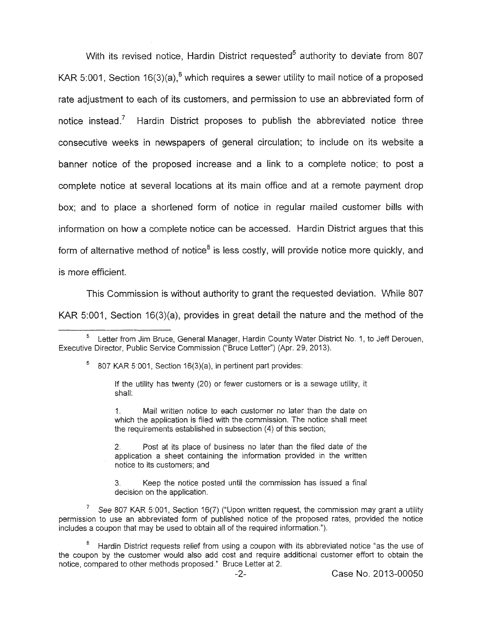With its revised notice. Hardin District requested<sup>5</sup> authority to deviate from 807 KAR 5:001, Section 16(3)(a),  $6$  which requires a sewer utility to mail notice of a proposed rate adjustment to each of its customers, and permission to use an abbreviated form of notice instead.<sup>7</sup> Hardin District proposes to publish the abbreviated notice three consecutive weeks in newspapers of general circulation; to include on its website a banner notice of the proposed increase and a link to a complete notice; to post a complete notice at several locations at its main office and at a remote payment drop box; and to place a shortened form of notice in regular mailed customer bills with information on how a complete notice can be accessed. Hardin District argues that this form of alternative method of notice<sup>8</sup> is less costly, will provide notice more quickly, and is more efficient.

This Commission is without authority to grant the requested deviation. While 807 KAR 5:001, Section 16(3)(a), provides in great detail the nature and the method of the

<sup>6</sup> 807 KAR 5:001, Section 16(3)(a), in pertinent part provides:

If the utility has twenty (20) or fewer customers or *is* a sewage utility, it shall:

1. Mail written notice *to* each customer no later than the date on which the application is filed with the commission. The notice shall meet the requirements established in subsection (4) of this section;

2. Post at its place of business no later than the filed date of the application a sheet containing the information provided in the written notice to its customers; and

3. decision on the application. Keep the notice posted until the commission has issued a final

<sup>7</sup> See 807 KAR 5:001, Section 16(7) ("Upon written request, the commission may grant a utility permission to use an abbreviated form of published notice of the proposed rates, provided the notice includes a coupon that may be used to obtain all of the required information.").

Hardin District requests relief from using a coupon with its abbreviated notice "as the use of **8** the coupon by the customer would also add cost and require additional customer effort to obtain the notice, compared to other methods proposed " Bruce Letter at 2.

Letter from Jim Bruce, General Manager, Hardin County Water District No. 1, to Jeff Derouen, *<sup>5</sup>* Executive Director, Public Service Commission ("Bruce Letter") (Apr. 29, 2013).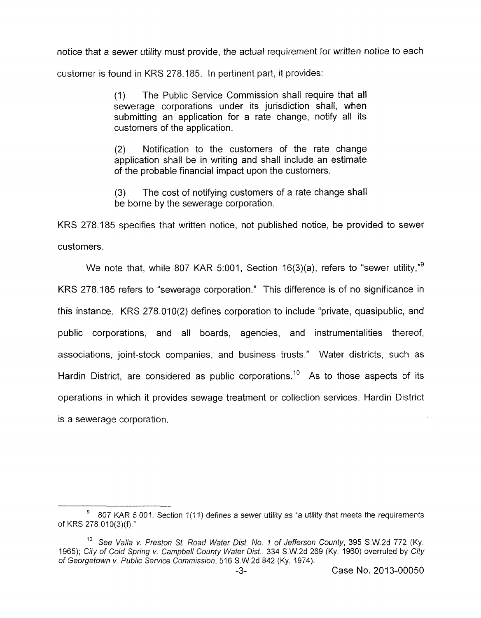notice that a sewer utility must provide, the actual requirement for written notice to each customer is found in KRS 278.185. In pertinent part, it provides:

> (I) The Public Service Commission shall require that all sewerage corporations under its jurisdiction shall, when submitting an application for a rate change, notify all its customers of the application.

> (2) Notification to the customers of the rate change application shall be in writing and shall include an estimate of the probable financial impact upon the customers.

> (3) be borne by the sewerage corporation. The cost of notifying customers of a rate change shall

KRS 278.185 specifies that written notice, not published notice, be provided to sewer customers.

We note that, while 807 KAR 5:001, Section 16(3)(a), refers to "sewer utility," $9$ KRS 278.185 refers to "sewerage corporation." This difference is of no significance in this instance. KRS 278.010(2) defines corporation to include "private, quasipublic, and public corporations, and all boards, agencies, and instrumentalities thereof, associations, joint-stock companies, and business trusts." Water districts, such as Hardin District, are considered as public corporations.<sup>10</sup> As to those aspects of its operations in which it provides sewage treatment or coliection services, Hardin District is a sewerage corporation.

<sup>&</sup>lt;sup>9</sup> 807 KAR 5:001, Section 1(11) defines a sewer utility as "a utility that meets the requirements of KRS 278 010(3)(f)."

<sup>&</sup>lt;sup>10</sup> See Valla v. Preston St. Road Water Dist. No. 1 of Jefferson County, 395 S.W.2d 772 (Ky. 1965); *City of Cold Spring v. Campbell Counfy Wafer Dist.,* 334 S.W.2d 269 (Ky. 1960) overruled by *City of Georgetown v. Public Service Commission,* 516 S.W.2d 842 (Ky. 1974).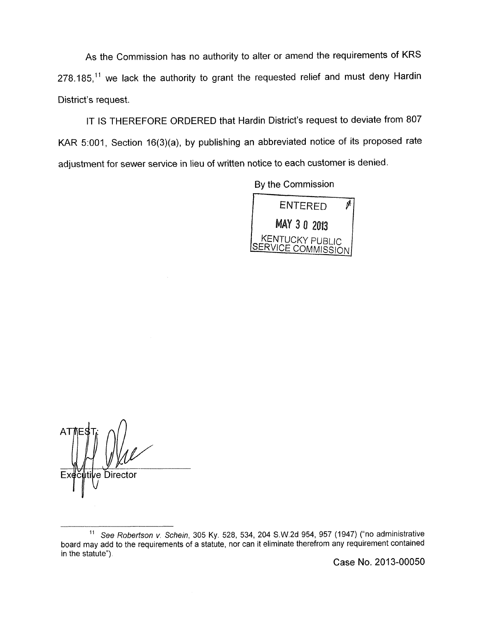As the Commission has no authority to alter or amend the requirements of KRS  $278.185$ <sup>11</sup> we lack the authority to grant the requested relief and must deny Hardin District's request.

IT IS THEREFORE ORDERED that Hardin District's request to deviate from 807 KAR 5:001, Section 16(3)(a), by publishing an abbreviated notice of its proposed rate adjustment for sewer service in lieu of written notice to each customer is denied.

By the Commission



∥tile Director

Case No. 2013-00050

<sup>&</sup>quot; *See Robertson v. Schein,* 305 Ky. 528, 534, 204 S.W.2d 954, 957 (1947) ("no administrative board may add to the requirements of a statute, nor can it eliminate therefrom any requirement contained in the statute").